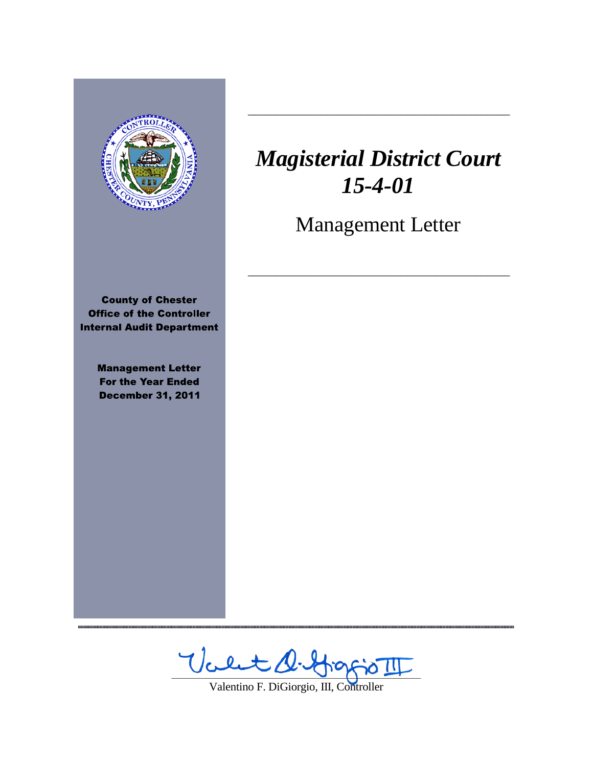

,,,,,,,,,,,,,,,,,,,,,,,,,,,,,,

# *Magisterial District Court 15-4-01*

 $\frac{1}{2}$  ,  $\frac{1}{2}$  ,  $\frac{1}{2}$  ,  $\frac{1}{2}$  ,  $\frac{1}{2}$  ,  $\frac{1}{2}$  ,  $\frac{1}{2}$  ,  $\frac{1}{2}$  ,  $\frac{1}{2}$  ,  $\frac{1}{2}$  ,  $\frac{1}{2}$  ,  $\frac{1}{2}$  ,  $\frac{1}{2}$  ,  $\frac{1}{2}$  ,  $\frac{1}{2}$  ,  $\frac{1}{2}$  ,  $\frac{1}{2}$  ,  $\frac{1}{2}$  ,  $\frac{1$ 

Management Letter

 $\frac{1}{2}$  ,  $\frac{1}{2}$  ,  $\frac{1}{2}$  ,  $\frac{1}{2}$  ,  $\frac{1}{2}$  ,  $\frac{1}{2}$  ,  $\frac{1}{2}$  ,  $\frac{1}{2}$  ,  $\frac{1}{2}$  ,  $\frac{1}{2}$  ,  $\frac{1}{2}$  ,  $\frac{1}{2}$  ,  $\frac{1}{2}$  ,  $\frac{1}{2}$  ,  $\frac{1}{2}$  ,  $\frac{1}{2}$  ,  $\frac{1}{2}$  ,  $\frac{1}{2}$  ,  $\frac{1$ 

Valt D. Hoppo II

Valentino F. DiGiorgio, III, Controller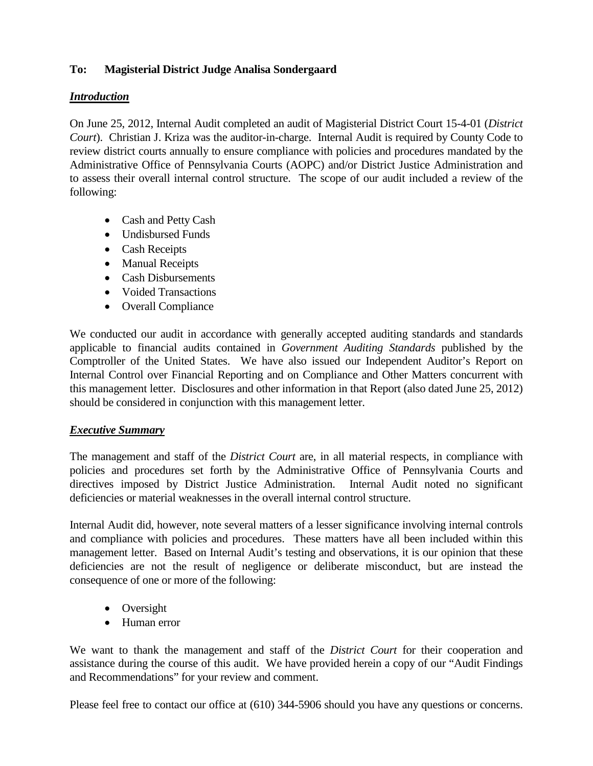# **To: Magisterial District Judge Analisa Sondergaard**

# *Introduction*

On June 25, 2012, Internal Audit completed an audit of Magisterial District Court 15-4-01 (*District Court*). Christian J. Kriza was the auditor-in-charge. Internal Audit is required by County Code to review district courts annually to ensure compliance with policies and procedures mandated by the Administrative Office of Pennsylvania Courts (AOPC) and/or District Justice Administration and to assess their overall internal control structure. The scope of our audit included a review of the following:

- Cash and Petty Cash
- Undisbursed Funds
- Cash Receipts
- Manual Receipts
- Cash Disbursements
- Voided Transactions
- Overall Compliance

We conducted our audit in accordance with generally accepted auditing standards and standards applicable to financial audits contained in *Government Auditing Standards* published by the Comptroller of the United States. We have also issued our Independent Auditor's Report on Internal Control over Financial Reporting and on Compliance and Other Matters concurrent with this management letter. Disclosures and other information in that Report (also dated June 25, 2012) should be considered in conjunction with this management letter.

## *Executive Summary*

The management and staff of the *District Court* are, in all material respects, in compliance with policies and procedures set forth by the Administrative Office of Pennsylvania Courts and directives imposed by District Justice Administration. Internal Audit noted no significant deficiencies or material weaknesses in the overall internal control structure.

Internal Audit did, however, note several matters of a lesser significance involving internal controls and compliance with policies and procedures. These matters have all been included within this management letter. Based on Internal Audit's testing and observations, it is our opinion that these deficiencies are not the result of negligence or deliberate misconduct, but are instead the consequence of one or more of the following:

- Oversight
- Human error

We want to thank the management and staff of the *District Court* for their cooperation and assistance during the course of this audit. We have provided herein a copy of our "Audit Findings and Recommendations" for your review and comment.

Please feel free to contact our office at (610) 344-5906 should you have any questions or concerns.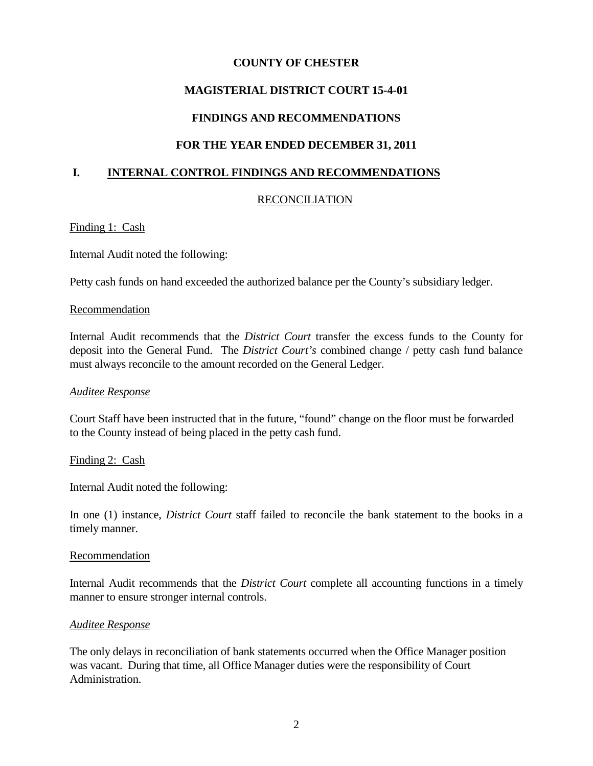# **MAGISTERIAL DISTRICT COURT 15-4-01**

## **FINDINGS AND RECOMMENDATIONS**

# **FOR THE YEAR ENDED DECEMBER 31, 2011**

## **I. INTERNAL CONTROL FINDINGS AND RECOMMENDATIONS**

## RECONCILIATION

## Finding 1: Cash

Internal Audit noted the following:

Petty cash funds on hand exceeded the authorized balance per the County's subsidiary ledger.

## Recommendation

Internal Audit recommends that the *District Court* transfer the excess funds to the County for deposit into the General Fund. The *District Court's* combined change / petty cash fund balance must always reconcile to the amount recorded on the General Ledger.

## *Auditee Response*

Court Staff have been instructed that in the future, "found" change on the floor must be forwarded to the County instead of being placed in the petty cash fund.

## Finding 2: Cash

Internal Audit noted the following:

In one (1) instance, *District Court* staff failed to reconcile the bank statement to the books in a timely manner.

#### Recommendation

Internal Audit recommends that the *District Court* complete all accounting functions in a timely manner to ensure stronger internal controls.

## *Auditee Response*

The only delays in reconciliation of bank statements occurred when the Office Manager position was vacant. During that time, all Office Manager duties were the responsibility of Court Administration.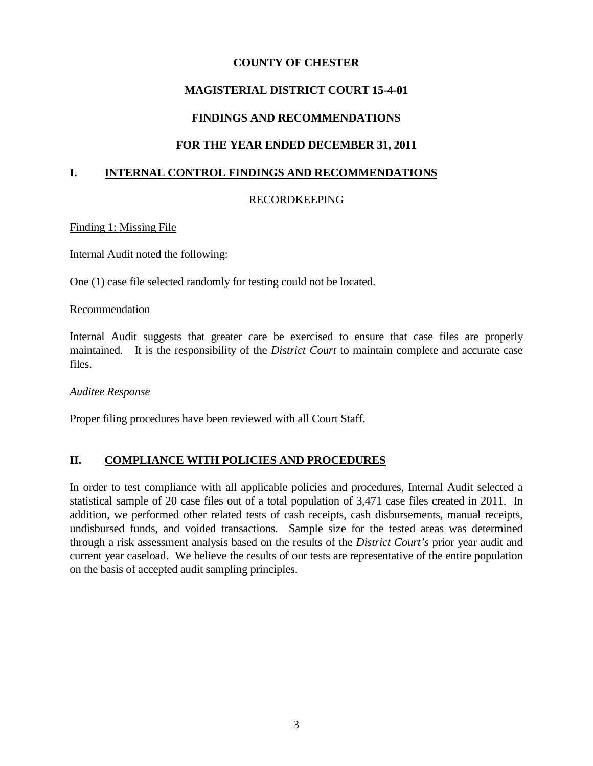# **MAGISTERIAL DISTRICT COURT 15-4-01**

# **FINDINGS AND RECOMMENDATIONS**

# **FOR THE YEAR ENDED DECEMBER 31, 2011**

## **I. INTERNAL CONTROL FINDINGS AND RECOMMENDATIONS**

## RECORDKEEPING

Finding 1: Missing File

Internal Audit noted the following:

One (1) case file selected randomly for testing could not be located.

#### Recommendation

Internal Audit suggests that greater care be exercised to ensure that case files are properly maintained. It is the responsibility of the *District Court* to maintain complete and accurate case files.

## *Auditee Response*

Proper filing procedures have been reviewed with all Court Staff.

## **II. COMPLIANCE WITH POLICIES AND PROCEDURES**

In order to test compliance with all applicable policies and procedures, Internal Audit selected a statistical sample of 20 case files out of a total population of 3,471 case files created in 2011. In addition, we performed other related tests of cash receipts, cash disbursements, manual receipts, undisbursed funds, and voided transactions. Sample size for the tested areas was determined through a risk assessment analysis based on the results of the *District Court's* prior year audit and current year caseload. We believe the results of our tests are representative of the entire population on the basis of accepted audit sampling principles.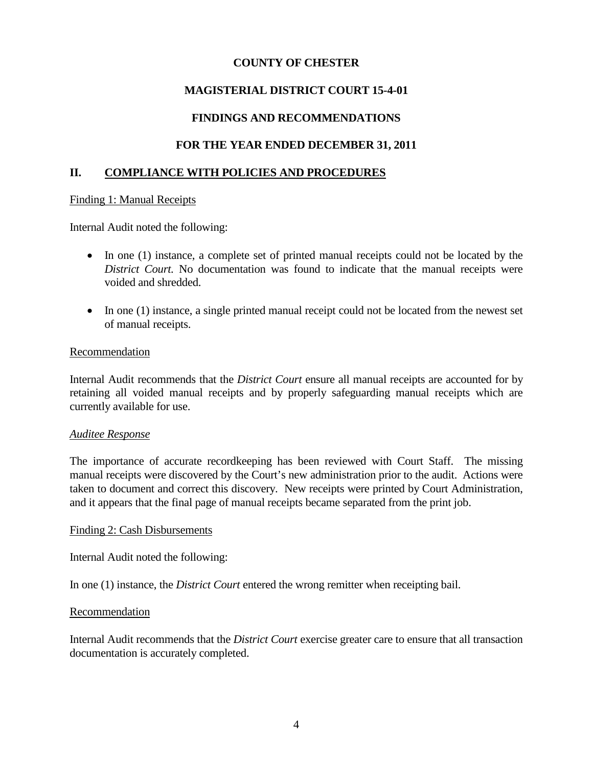# **MAGISTERIAL DISTRICT COURT 15-4-01**

# **FINDINGS AND RECOMMENDATIONS**

# **FOR THE YEAR ENDED DECEMBER 31, 2011**

## **II. COMPLIANCE WITH POLICIES AND PROCEDURES**

#### Finding 1: Manual Receipts

Internal Audit noted the following:

- In one (1) instance, a complete set of printed manual receipts could not be located by the *District Court.* No documentation was found to indicate that the manual receipts were voided and shredded.
- In one (1) instance, a single printed manual receipt could not be located from the newest set of manual receipts.

#### Recommendation

Internal Audit recommends that the *District Court* ensure all manual receipts are accounted for by retaining all voided manual receipts and by properly safeguarding manual receipts which are currently available for use.

## *Auditee Response*

The importance of accurate recordkeeping has been reviewed with Court Staff. The missing manual receipts were discovered by the Court's new administration prior to the audit. Actions were taken to document and correct this discovery. New receipts were printed by Court Administration, and it appears that the final page of manual receipts became separated from the print job.

## Finding 2: Cash Disbursements

Internal Audit noted the following:

In one (1) instance, the *District Court* entered the wrong remitter when receipting bail.

## Recommendation

Internal Audit recommends that the *District Court* exercise greater care to ensure that all transaction documentation is accurately completed.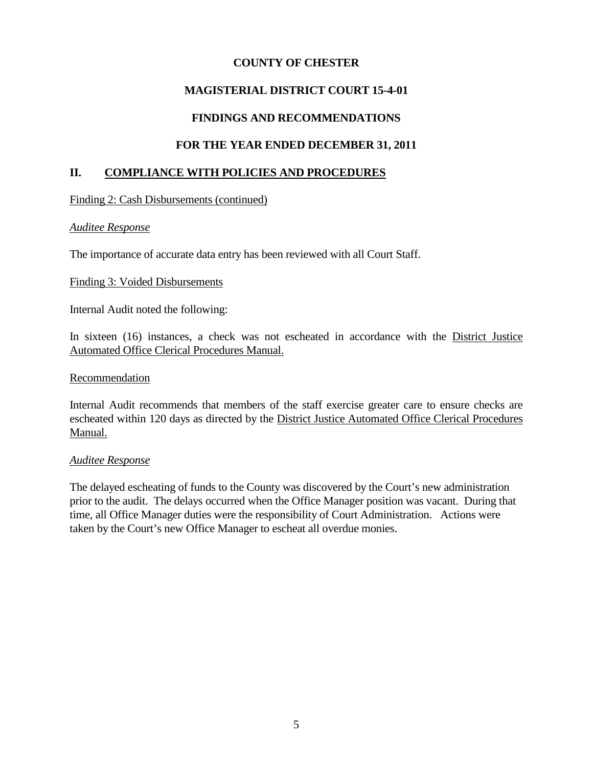# **MAGISTERIAL DISTRICT COURT 15-4-01**

## **FINDINGS AND RECOMMENDATIONS**

# **FOR THE YEAR ENDED DECEMBER 31, 2011**

## **II. COMPLIANCE WITH POLICIES AND PROCEDURES**

Finding 2: Cash Disbursements (continued)

## *Auditee Response*

The importance of accurate data entry has been reviewed with all Court Staff.

#### Finding 3: Voided Disbursements

Internal Audit noted the following:

In sixteen (16) instances, a check was not escheated in accordance with the District Justice Automated Office Clerical Procedures Manual.

#### Recommendation

Internal Audit recommends that members of the staff exercise greater care to ensure checks are escheated within 120 days as directed by the District Justice Automated Office Clerical Procedures Manual.

## *Auditee Response*

The delayed escheating of funds to the County was discovered by the Court's new administration prior to the audit. The delays occurred when the Office Manager position was vacant. During that time, all Office Manager duties were the responsibility of Court Administration. Actions were taken by the Court's new Office Manager to escheat all overdue monies.